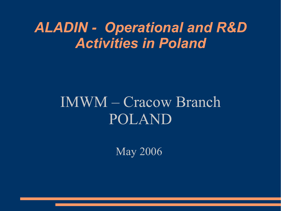## *ALADIN - Operational and R&D Activities in Poland*

# IMWM – Cracow Branch POLAND

May 2006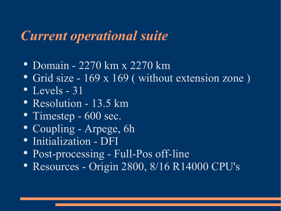#### *Current operational suite*

- Domain 2270 km x 2270 km
- Grid size 169 x 169 (without extension zone)
- $\bullet$  Levels 31
- Resolution 13.5 km
- Timestep 600 sec.
- Coupling Arpege, 6h
- Initialization DFI
- Post-processing Full-Pos off-line
- Resources Origin 2800, 8/16 R14000 CPU's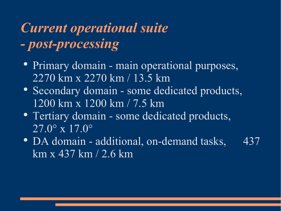## *Current operational suite - post-processing*

- Primary domain main operational purposes, 2270 km x 2270 km / 13.5 km
- Secondary domain some dedicated products, 1200 km x 1200 km / 7.5 km
- Tertiary domain some dedicated products,  $27.0^{\circ}$  x  $17.0^{\circ}$
- DA domain additional, on-demand tasks, 437  $km x 437 km / 2.6 km$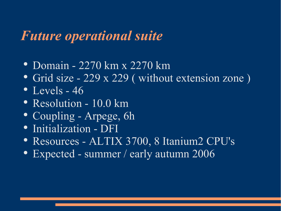#### *Future operational suite*

- Domain 2270 km x 2270 km
- Grid size 229 x 229 (without extension zone)
- $\bullet$  Levels 46
- Resolution 10.0 km
- Coupling Arpege, 6h
- Initialization DFI
- Resources ALTIX 3700, 8 Itanium2 CPU's
- Expected summer / early autumn 2006